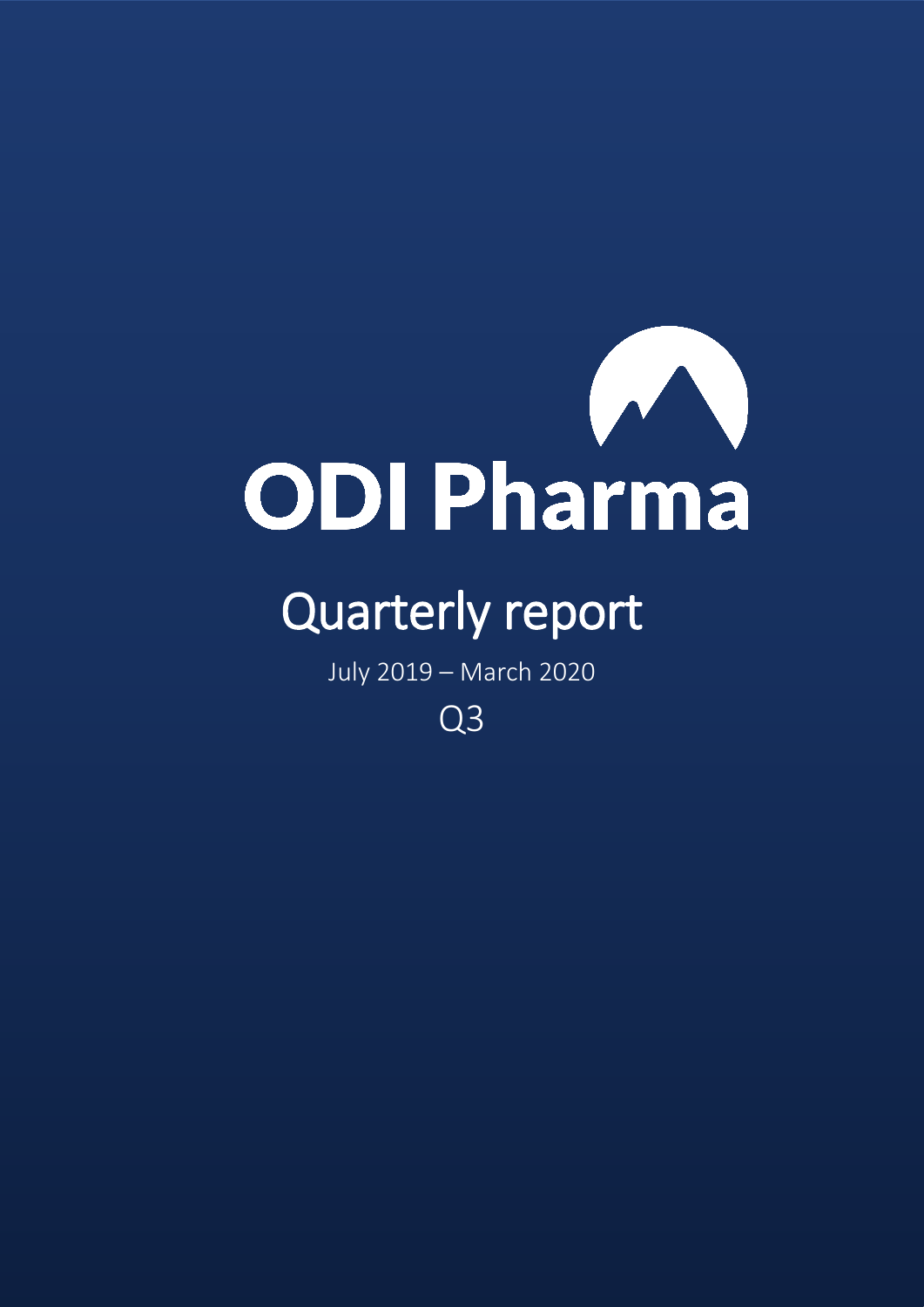

# Quarterly report

July 2019 – March 2020

Q3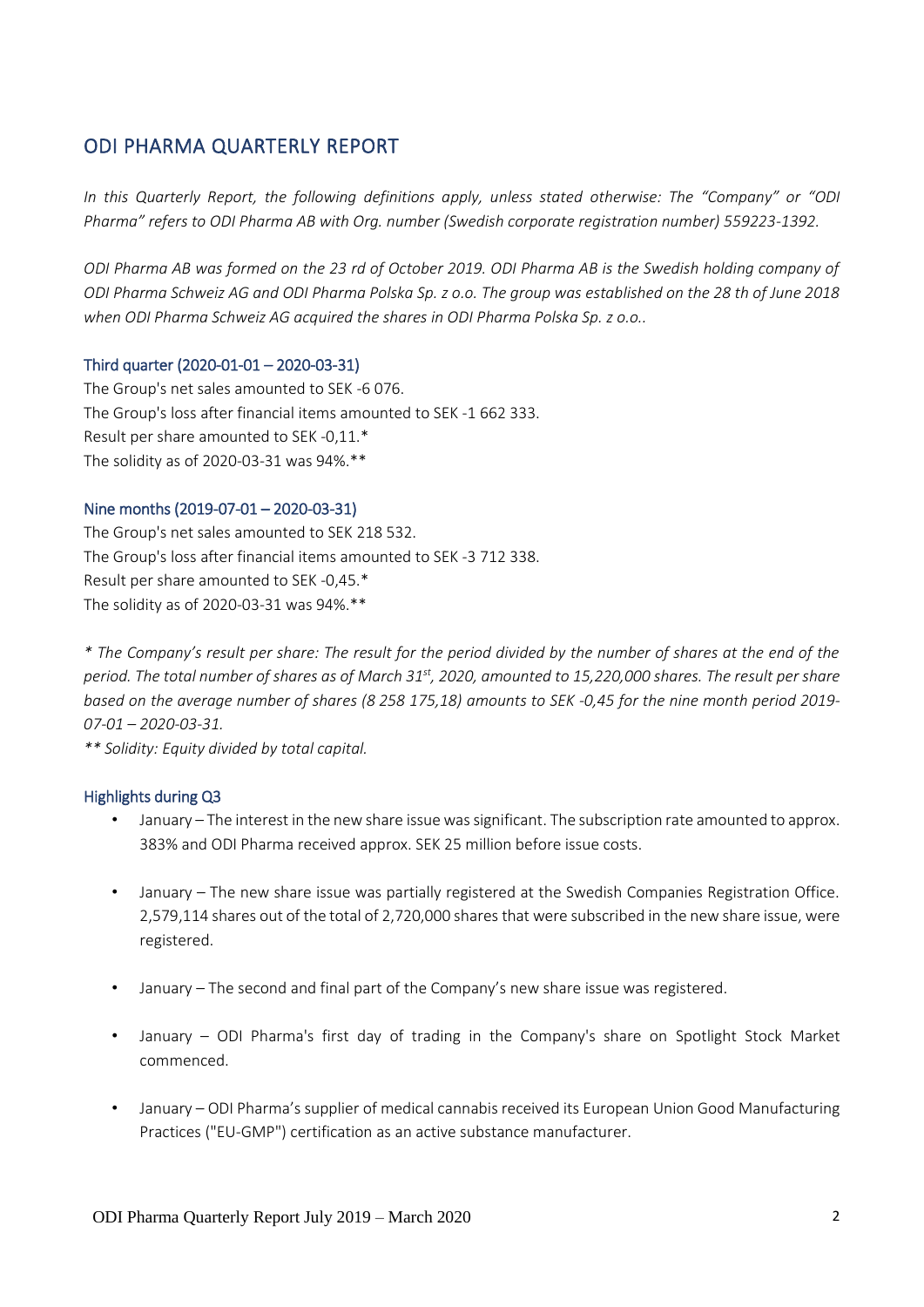## ODI PHARMA QUARTERLY REPORT

*In this Quarterly Report, the following definitions apply, unless stated otherwise: The "Company" or "ODI Pharma" refers to ODI Pharma AB with Org. number (Swedish corporate registration number) 559223-1392.*

*ODI Pharma AB was formed on the 23 rd of October 2019. ODI Pharma AB is the Swedish holding company of ODI Pharma Schweiz AG and ODI Pharma Polska Sp. z o.o. The group was established on the 28 th of June 2018 when ODI Pharma Schweiz AG acquired the shares in ODI Pharma Polska Sp. z o.o..*

#### Third quarter (2020-01-01 – 2020-03-31)

The Group's net sales amounted to SEK -6 076. The Group's loss after financial items amounted to SEK -1 662 333. Result per share amounted to SEK -0,11.\* The solidity as of 2020-03-31 was 94%.\*\*

#### Nine months (2019-07-01 – 2020-03-31)

The Group's net sales amounted to SEK 218 532. The Group's loss after financial items amounted to SEK -3 712 338. Result per share amounted to SEK -0,45.\* The solidity as of 2020-03-31 was 94%.\*\*

*\* The Company's result per share: The result for the period divided by the number of shares at the end of the period. The total number of shares as of March 31st , 2020, amounted to 15,220,000 shares. The result per share based on the average number of shares (8 258 175,18) amounts to SEK -0,45 for the nine month period 2019- 07-01 – 2020-03-31.*

*\*\* Solidity: Equity divided by total capital.*

#### Highlights during Q3

- January The interest in the new share issue was significant. The subscription rate amounted to approx. 383% and ODI Pharma received approx. SEK 25 million before issue costs.
- January The new share issue was partially registered at the Swedish Companies Registration Office. 2,579,114 shares out of the total of 2,720,000 shares that were subscribed in the new share issue, were registered.
- January The second and final part of the Company's new share issue was registered.
- January ODI Pharma's first day of trading in the Company's share on Spotlight Stock Market commenced.
- January ODI Pharma's supplier of medical cannabis received its European Union Good Manufacturing Practices ("EU-GMP") certification as an active substance manufacturer.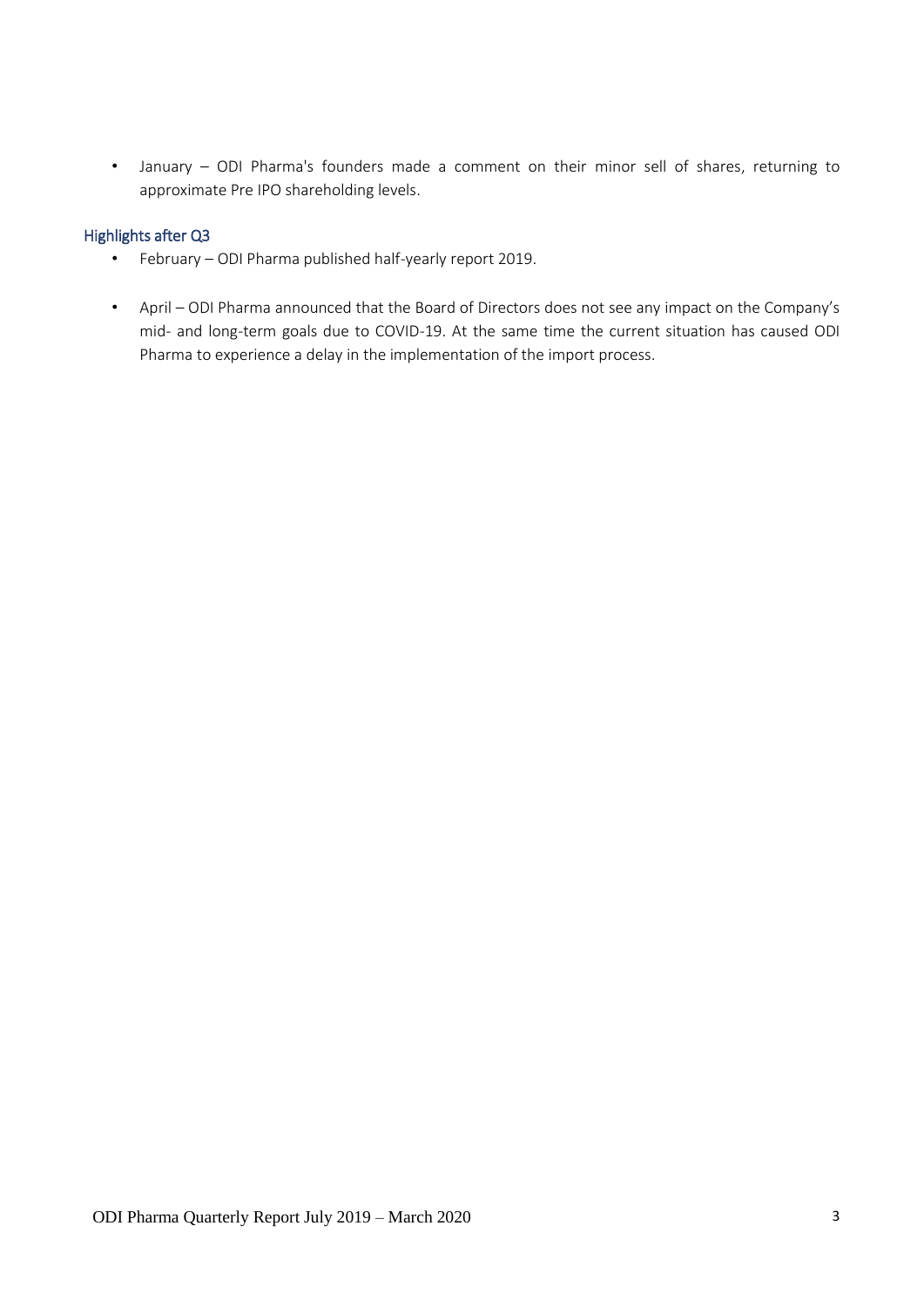• January – ODI Pharma's founders made a comment on their minor sell of shares, returning to approximate Pre IPO shareholding levels.

### Highlights after Q3

- February ODI Pharma published half-yearly report 2019.
- April ODI Pharma announced that the Board of Directors does not see any impact on the Company's mid- and long-term goals due to COVID-19. At the same time the current situation has caused ODI Pharma to experience a delay in the implementation of the import process.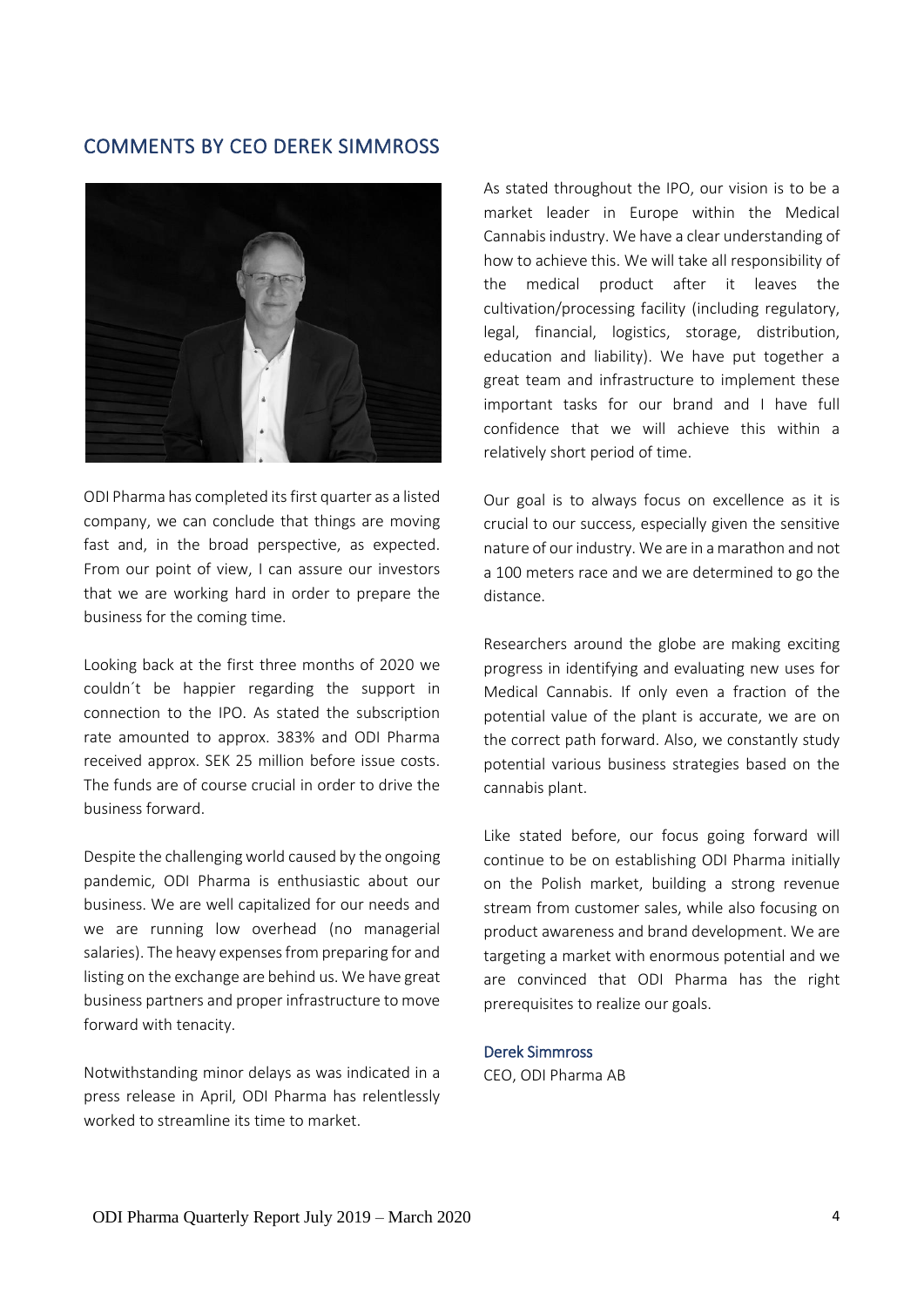## COMMENTS BY CEO DEREK SIMMROSS



ODI Pharma has completed its first quarter as a listed company, we can conclude that things are moving fast and, in the broad perspective, as expected. From our point of view, I can assure our investors that we are working hard in order to prepare the business for the coming time.

Looking back at the first three months of 2020 we couldn´t be happier regarding the support in connection to the IPO. As stated the subscription rate amounted to approx. 383% and ODI Pharma received approx. SEK 25 million before issue costs. The funds are of course crucial in order to drive the business forward.

Despite the challenging world caused by the ongoing pandemic, ODI Pharma is enthusiastic about our business. We are well capitalized for our needs and we are running low overhead (no managerial salaries). The heavy expenses from preparing for and listing on the exchange are behind us. We have great business partners and proper infrastructure to move forward with tenacity.

Notwithstanding minor delays as was indicated in a press release in April, ODI Pharma has relentlessly worked to streamline its time to market.

As stated throughout the IPO, our vision is to be a market leader in Europe within the Medical Cannabis industry. We have a clear understanding of how to achieve this. We will take all responsibility of the medical product after it leaves the cultivation/processing facility (including regulatory, legal, financial, logistics, storage, distribution, education and liability). We have put together a great team and infrastructure to implement these important tasks for our brand and I have full confidence that we will achieve this within a relatively short period of time.

Our goal is to always focus on excellence as it is crucial to our success, especially given the sensitive nature of our industry. We are in a marathon and not a 100 meters race and we are determined to go the distance.

Researchers around the globe are making exciting progress in identifying and evaluating new uses for Medical Cannabis. If only even a fraction of the potential value of the plant is accurate, we are on the correct path forward. Also, we constantly study potential various business strategies based on the cannabis plant.

Like stated before, our focus going forward will continue to be on establishing ODI Pharma initially on the Polish market, building a strong revenue stream from customer sales, while also focusing on product awareness and brand development. We are targeting a market with enormous potential and we are convinced that ODI Pharma has the right prerequisites to realize our goals.

#### Derek Simmross

CEO, ODI Pharma AB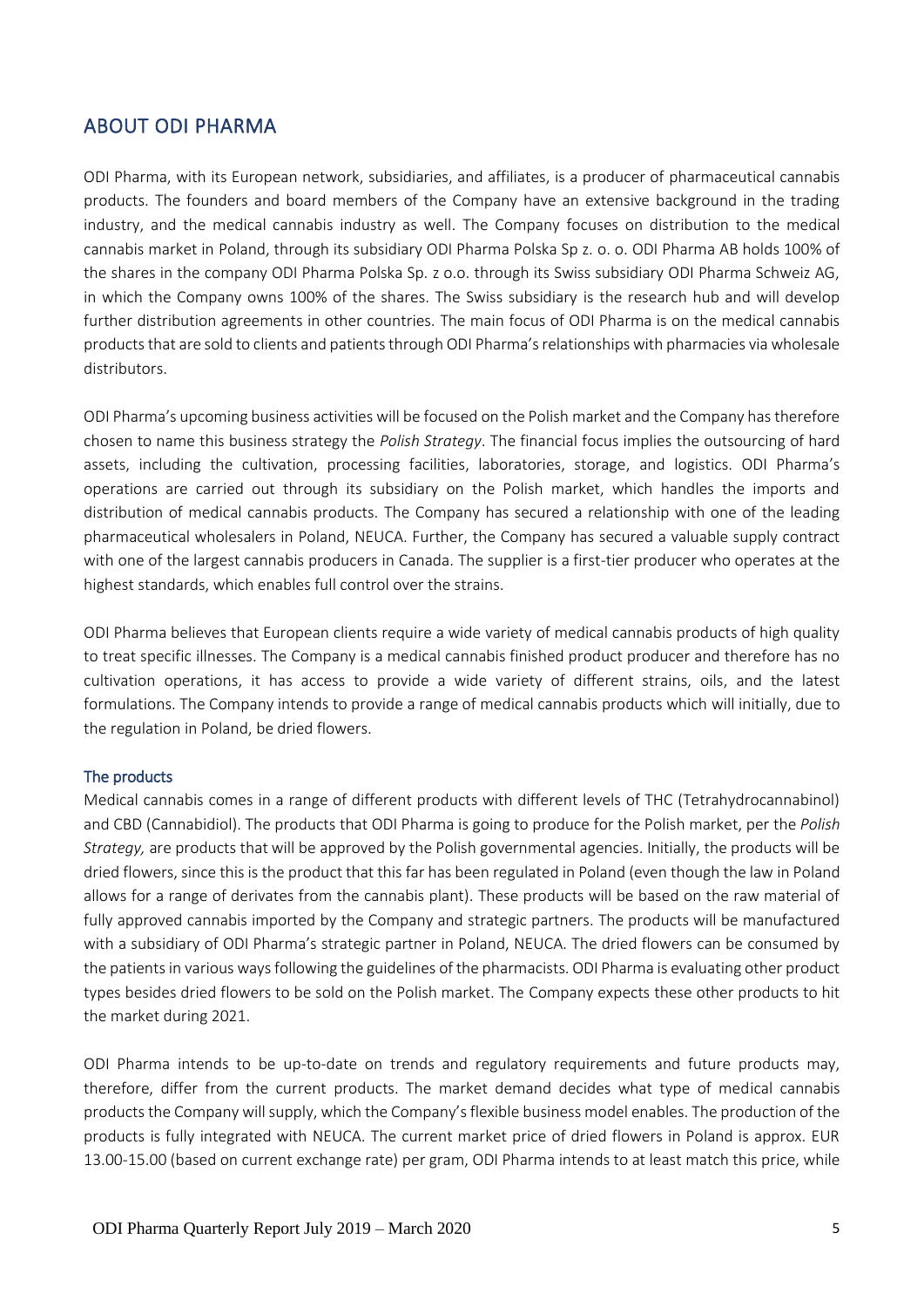## ABOUT ODI PHARMA

ODI Pharma, with its European network, subsidiaries, and affiliates, is a producer of pharmaceutical cannabis products. The founders and board members of the Company have an extensive background in the trading industry, and the medical cannabis industry as well. The Company focuses on distribution to the medical cannabis market in Poland, through its subsidiary ODI Pharma Polska Sp z. o. o. ODI Pharma AB holds 100% of the shares in the company ODI Pharma Polska Sp. z o.o. through its Swiss subsidiary ODI Pharma Schweiz AG, in which the Company owns 100% of the shares. The Swiss subsidiary is the research hub and will develop further distribution agreements in other countries. The main focus of ODI Pharma is on the medical cannabis products that are sold to clients and patients through ODI Pharma's relationships with pharmacies via wholesale distributors.

ODI Pharma's upcoming business activities will be focused on the Polish market and the Company has therefore chosen to name this business strategy the *Polish Strategy*. The financial focus implies the outsourcing of hard assets, including the cultivation, processing facilities, laboratories, storage, and logistics. ODI Pharma's operations are carried out through its subsidiary on the Polish market, which handles the imports and distribution of medical cannabis products. The Company has secured a relationship with one of the leading pharmaceutical wholesalers in Poland, NEUCA. Further, the Company has secured a valuable supply contract with one of the largest cannabis producers in Canada. The supplier is a first-tier producer who operates at the highest standards, which enables full control over the strains.

ODI Pharma believes that European clients require a wide variety of medical cannabis products of high quality to treat specific illnesses. The Company is a medical cannabis finished product producer and therefore has no cultivation operations, it has access to provide a wide variety of different strains, oils, and the latest formulations. The Company intends to provide a range of medical cannabis products which will initially, due to the regulation in Poland, be dried flowers.

#### The products

Medical cannabis comes in a range of different products with different levels of THC (Tetrahydrocannabinol) and CBD (Cannabidiol). The products that ODI Pharma is going to produce for the Polish market, per the *Polish Strategy,* are products that will be approved by the Polish governmental agencies. Initially, the products will be dried flowers, since this is the product that this far has been regulated in Poland (even though the law in Poland allows for a range of derivates from the cannabis plant). These products will be based on the raw material of fully approved cannabis imported by the Company and strategic partners. The products will be manufactured with a subsidiary of ODI Pharma's strategic partner in Poland, NEUCA. The dried flowers can be consumed by the patients in various ways following the guidelines of the pharmacists. ODI Pharma is evaluating other product types besides dried flowers to be sold on the Polish market. The Company expects these other products to hit the market during 2021.

ODI Pharma intends to be up-to-date on trends and regulatory requirements and future products may, therefore, differ from the current products. The market demand decides what type of medical cannabis products the Company will supply, which the Company's flexible business model enables. The production of the products is fully integrated with NEUCA. The current market price of dried flowers in Poland is approx. EUR 13.00-15.00 (based on current exchange rate) per gram, ODI Pharma intends to at least match this price, while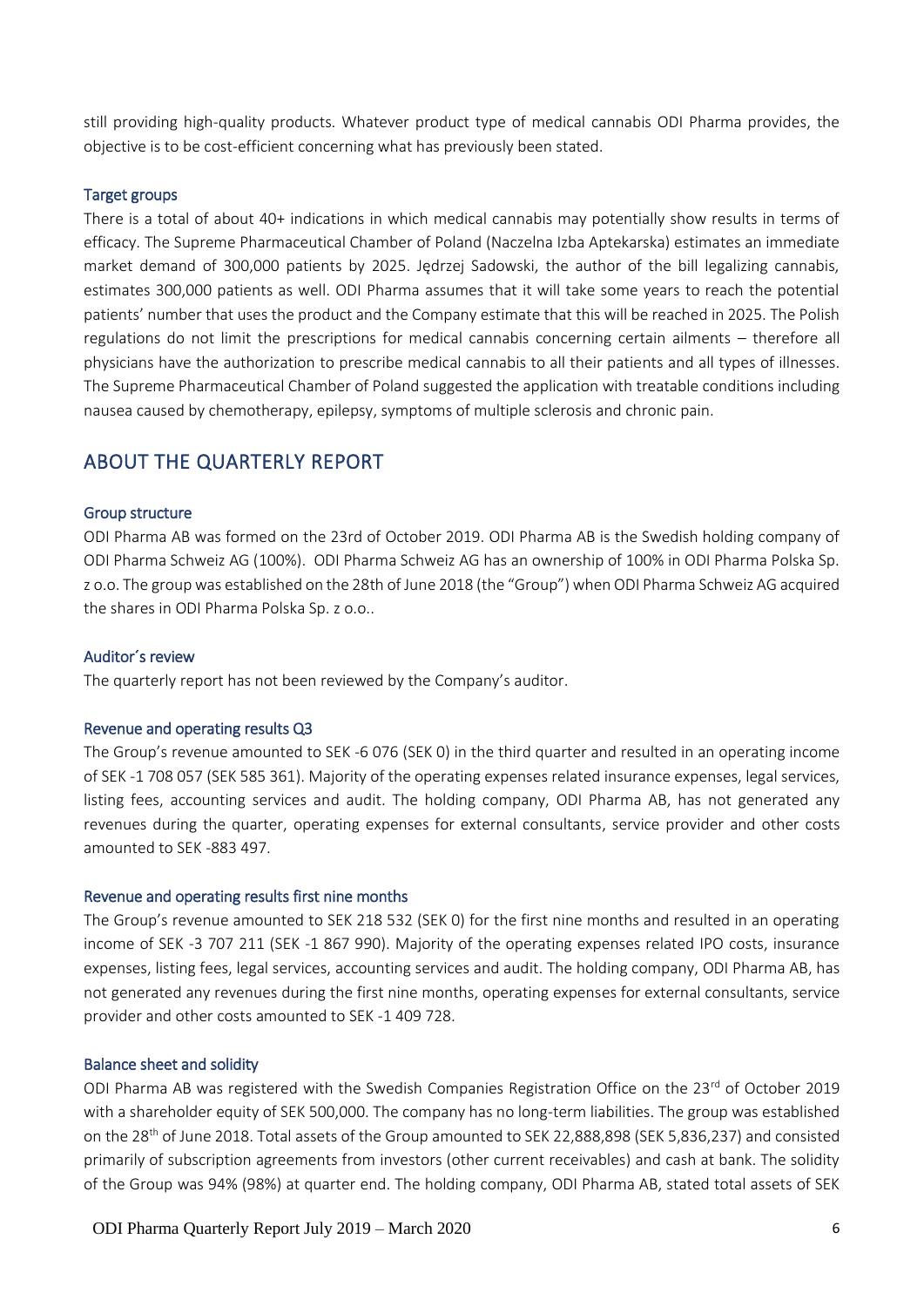still providing high-quality products. Whatever product type of medical cannabis ODI Pharma provides, the objective is to be cost-efficient concerning what has previously been stated.

#### Target groups

There is a total of about 40+ indications in which medical cannabis may potentially show results in terms of efficacy. The Supreme Pharmaceutical Chamber of Poland (Naczelna Izba Aptekarska) estimates an immediate market demand of 300,000 patients by 2025. Jędrzej Sadowski, the author of the bill legalizing cannabis, estimates 300,000 patients as well. ODI Pharma assumes that it will take some years to reach the potential patients' number that uses the product and the Company estimate that this will be reached in 2025. The Polish regulations do not limit the prescriptions for medical cannabis concerning certain ailments – therefore all physicians have the authorization to prescribe medical cannabis to all their patients and all types of illnesses. The Supreme Pharmaceutical Chamber of Poland suggested the application with treatable conditions including nausea caused by chemotherapy, epilepsy, symptoms of multiple sclerosis and chronic pain.

## ABOUT THE QUARTERLY REPORT

#### Group structure

ODI Pharma AB was formed on the 23rd of October 2019. ODI Pharma AB is the Swedish holding company of ODI Pharma Schweiz AG (100%). ODI Pharma Schweiz AG has an ownership of 100% in ODI Pharma Polska Sp. z o.o. The group was established on the 28th of June 2018 (the "Group") when ODI Pharma Schweiz AG acquired the shares in ODI Pharma Polska Sp. z o.o..

#### Auditor´s review

The quarterly report has not been reviewed by the Company's auditor.

#### Revenue and operating results Q3

The Group's revenue amounted to SEK -6 076 (SEK 0) in the third quarter and resulted in an operating income of SEK -1 708 057 (SEK 585 361). Majority of the operating expenses related insurance expenses, legal services, listing fees, accounting services and audit. The holding company, ODI Pharma AB, has not generated any revenues during the quarter, operating expenses for external consultants, service provider and other costs amounted to SEK -883 497.

#### Revenue and operating results first nine months

The Group's revenue amounted to SEK 218 532 (SEK 0) for the first nine months and resulted in an operating income of SEK -3 707 211 (SEK -1 867 990). Majority of the operating expenses related IPO costs, insurance expenses, listing fees, legal services, accounting services and audit. The holding company, ODI Pharma AB, has not generated any revenues during the first nine months, operating expenses for external consultants, service provider and other costs amounted to SEK -1 409 728.

#### Balance sheet and solidity

ODI Pharma AB was registered with the Swedish Companies Registration Office on the 23<sup>rd</sup> of October 2019 with a shareholder equity of SEK 500,000. The company has no long-term liabilities. The group was established on the 28th of June 2018. Total assets of the Group amounted to SEK 22,888,898 (SEK 5,836,237) and consisted primarily of subscription agreements from investors (other current receivables) and cash at bank. The solidity of the Group was 94% (98%) at quarter end. The holding company, ODI Pharma AB, stated total assets of SEK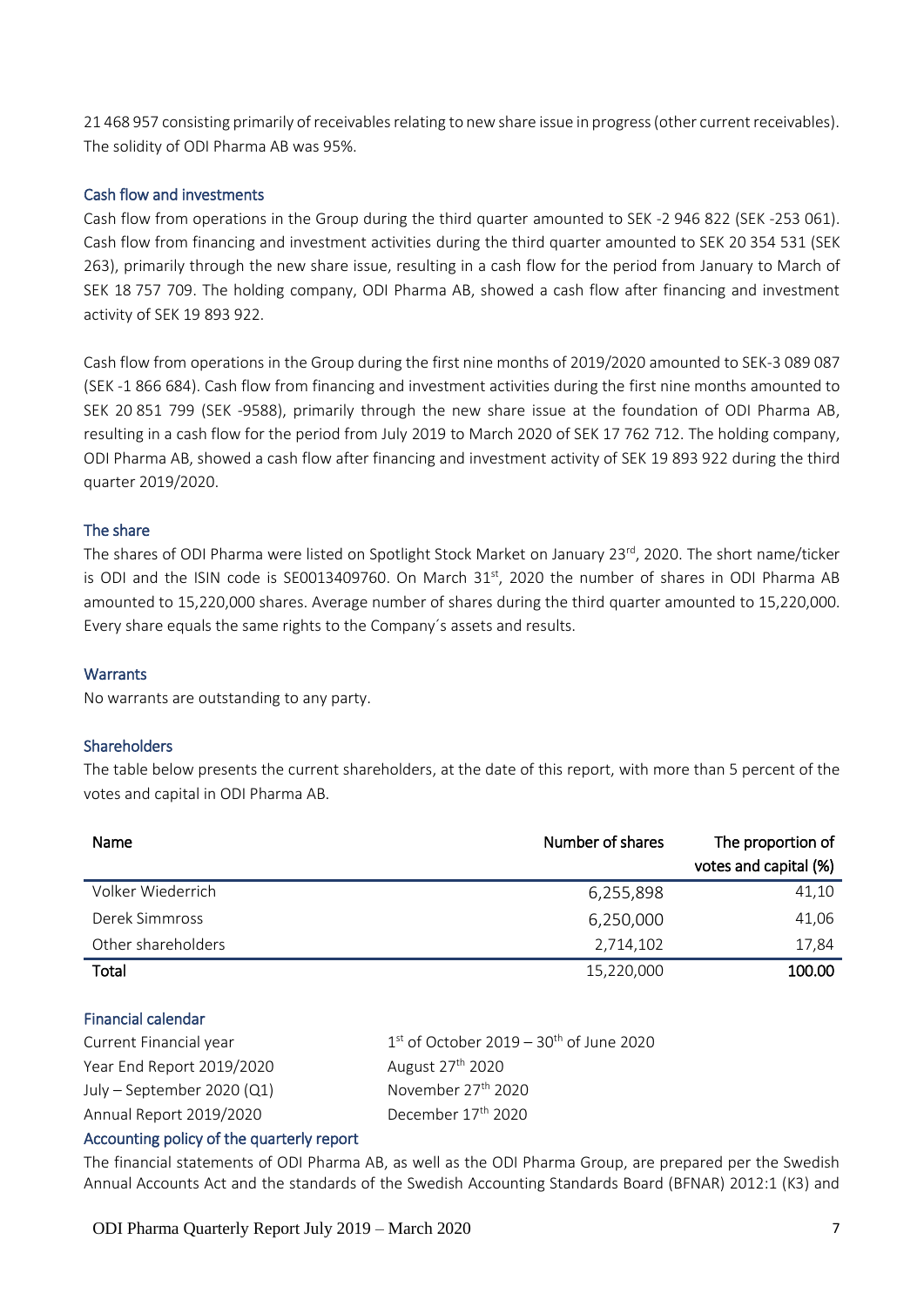21 468 957 consisting primarily of receivables relating to new share issue in progress (other current receivables). The solidity of ODI Pharma AB was 95%.

### Cash flow and investments

Cash flow from operations in the Group during the third quarter amounted to SEK -2 946 822 (SEK -253 061). Cash flow from financing and investment activities during the third quarter amounted to SEK 20 354 531 (SEK 263), primarily through the new share issue, resulting in a cash flow for the period from January to March of SEK 18 757 709. The holding company, ODI Pharma AB, showed a cash flow after financing and investment activity of SEK 19 893 922.

Cash flow from operations in the Group during the first nine months of 2019/2020 amounted to SEK-3 089 087 (SEK -1 866 684). Cash flow from financing and investment activities during the first nine months amounted to SEK 20 851 799 (SEK -9588), primarily through the new share issue at the foundation of ODI Pharma AB, resulting in a cash flow for the period from July 2019 to March 2020 of SEK 17 762 712. The holding company, ODI Pharma AB, showed a cash flow after financing and investment activity of SEK 19 893 922 during the third quarter 2019/2020.

#### The share

The shares of ODI Pharma were listed on Spotlight Stock Market on January 23<sup>rd</sup>, 2020. The short name/ticker is ODI and the ISIN code is SE0013409760. On March 31<sup>st</sup>, 2020 the number of shares in ODI Pharma AB amounted to 15,220,000 shares. Average number of shares during the third quarter amounted to 15,220,000. Every share equals the same rights to the Company´s assets and results.

#### **Warrants**

No warrants are outstanding to any party.

#### Shareholders

The table below presents the current shareholders, at the date of this report, with more than 5 percent of the votes and capital in ODI Pharma AB.

| Name               | Number of shares | The proportion of<br>votes and capital (%) |
|--------------------|------------------|--------------------------------------------|
| Volker Wiederrich  | 6,255,898        | 41,10                                      |
| Derek Simmross     | 6,250,000        | 41,06                                      |
| Other shareholders | 2,714,102        | 17,84                                      |
| Total              | 15,220,000       | 100.00                                     |

#### Financial calendar

| Current Financial year     |   |
|----------------------------|---|
| Year End Report 2019/2020  | д |
| July – September 2020 (Q1) |   |
| Annual Report 2019/2020    | Γ |

 $1<sup>st</sup>$  of October 2019 – 30<sup>th</sup> of June 2020 August  $27<sup>th</sup>$  2020 November 27<sup>th</sup> 2020 December 17<sup>th</sup> 2020

#### Accounting policy of the quarterly report

The financial statements of ODI Pharma AB, as well as the ODI Pharma Group, are prepared per the Swedish Annual Accounts Act and the standards of the Swedish Accounting Standards Board (BFNAR) 2012:1 (K3) and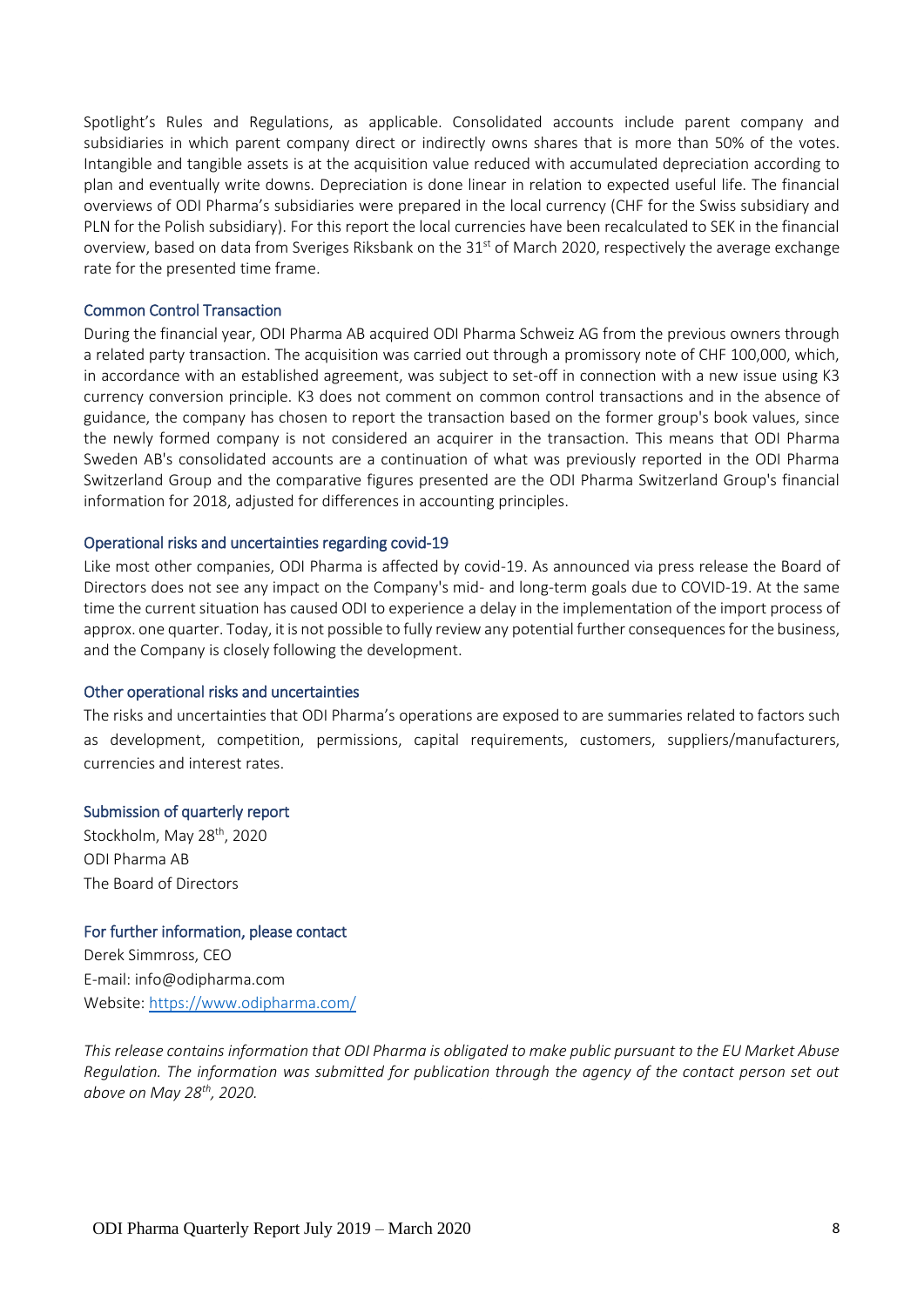Spotlight's Rules and Regulations, as applicable. Consolidated accounts include parent company and subsidiaries in which parent company direct or indirectly owns shares that is more than 50% of the votes. Intangible and tangible assets is at the acquisition value reduced with accumulated depreciation according to plan and eventually write downs. Depreciation is done linear in relation to expected useful life. The financial overviews of ODI Pharma's subsidiaries were prepared in the local currency (CHF for the Swiss subsidiary and PLN for the Polish subsidiary). For this report the local currencies have been recalculated to SEK in the financial overview, based on data from Sveriges Riksbank on the 31<sup>st</sup> of March 2020, respectively the average exchange rate for the presented time frame.

#### Common Control Transaction

During the financial year, ODI Pharma AB acquired ODI Pharma Schweiz AG from the previous owners through a related party transaction. The acquisition was carried out through a promissory note of CHF 100,000, which, in accordance with an established agreement, was subject to set-off in connection with a new issue using K3 currency conversion principle. K3 does not comment on common control transactions and in the absence of guidance, the company has chosen to report the transaction based on the former group's book values, since the newly formed company is not considered an acquirer in the transaction. This means that ODI Pharma Sweden AB's consolidated accounts are a continuation of what was previously reported in the ODI Pharma Switzerland Group and the comparative figures presented are the ODI Pharma Switzerland Group's financial information for 2018, adjusted for differences in accounting principles.

#### Operational risks and uncertainties regarding covid-19

Like most other companies, ODI Pharma is affected by covid-19. As announced via press release the Board of Directors does not see any impact on the Company's mid- and long-term goals due to COVID-19. At the same time the current situation has caused ODI to experience a delay in the implementation of the import process of approx. one quarter. Today, it is not possible to fully review any potential further consequences for the business, and the Company is closely following the development.

#### Other operational risks and uncertainties

The risks and uncertainties that ODI Pharma's operations are exposed to are summaries related to factors such as development, competition, permissions, capital requirements, customers, suppliers/manufacturers, currencies and interest rates.

#### Submission of quarterly report

Stockholm, May 28<sup>th</sup>, 2020 ODI Pharma AB The Board of Directors

#### For further information, please contact

Derek Simmross, CEO E-mail: info@odipharma.com Website:<https://www.odipharma.com/>

*This release contains information that ODI Pharma is obligated to make public pursuant to the EU Market Abuse Regulation. The information was submitted for publication through the agency of the contact person set out above on May 28th, 2020.*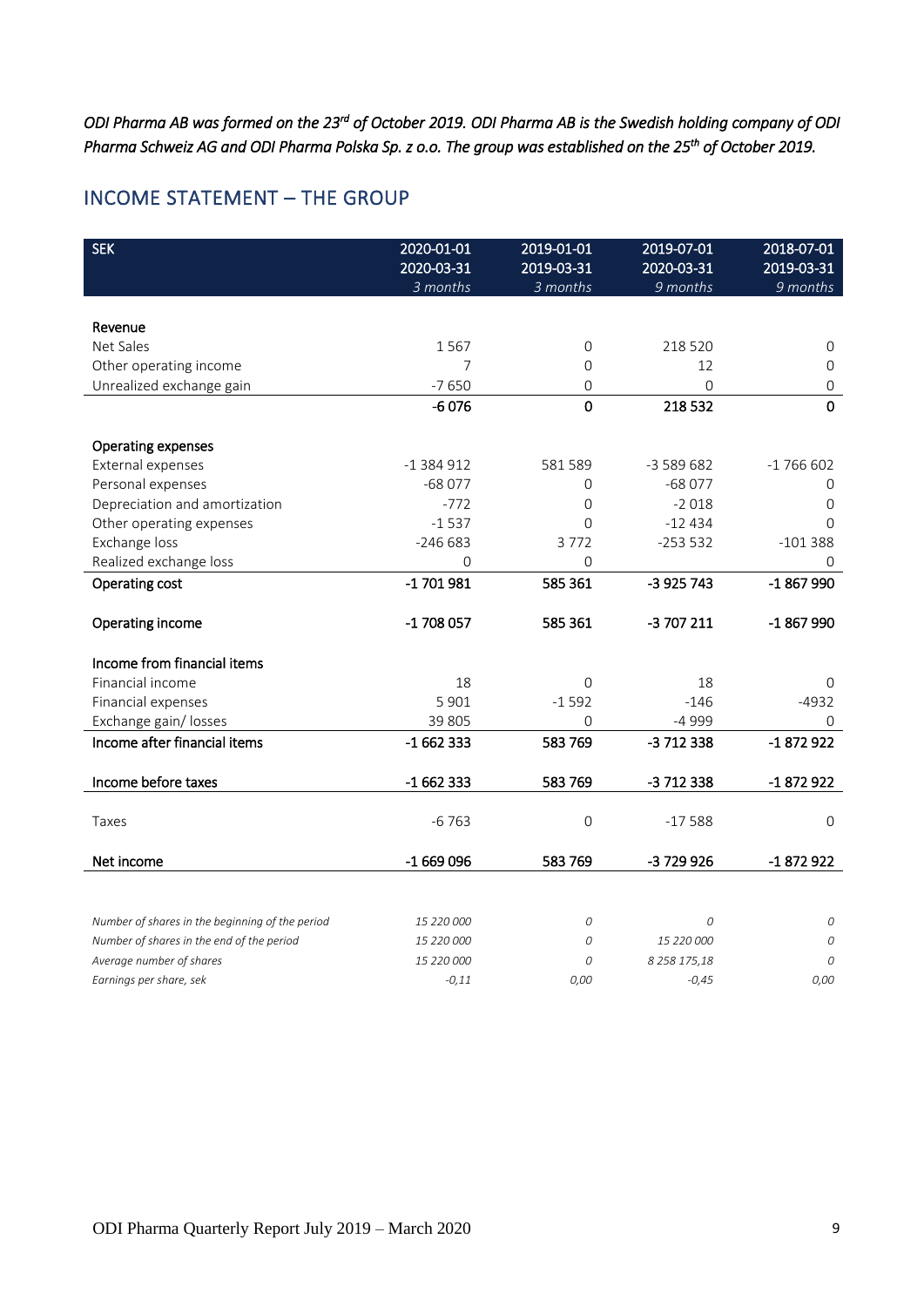*ODI Pharma AB was formed on the 23rd of October 2019. ODI Pharma AB is the Swedish holding company of ODI Pharma Schweiz AG and ODI Pharma Polska Sp. z o.o. The group was established on the 25 th of October 2019.* 

## INCOME STATEMENT – THE GROUP

| <b>SEK</b>                                      | 2020-01-01 | 2019-01-01  | 2019-07-01   | 2018-07-01   |
|-------------------------------------------------|------------|-------------|--------------|--------------|
|                                                 | 2020-03-31 | 2019-03-31  | 2020-03-31   | 2019-03-31   |
|                                                 | 3 months   | 3 months    | 9 months     | 9 months     |
|                                                 |            |             |              |              |
| Revenue                                         |            |             |              |              |
| Net Sales                                       | 1567       | 0           | 218 520      | $\mathbf 0$  |
| Other operating income                          | 7          | 0           | 12           | $\mathbf 0$  |
| Unrealized exchange gain                        | $-7650$    | 0           | $\Omega$     | $\mathbf 0$  |
|                                                 | $-6076$    | $\mathbf 0$ | 218 532      | $\mathbf 0$  |
| Operating expenses                              |            |             |              |              |
| External expenses                               | $-1384912$ | 581 589     | -3 589 682   | $-1766602$   |
| Personal expenses                               | $-68077$   | $\Omega$    | $-68077$     | 0            |
| Depreciation and amortization                   | $-772$     | 0           | $-2018$      | $\mathbf{O}$ |
| Other operating expenses                        | $-1537$    | $\Omega$    | $-12434$     | $\Omega$     |
| Exchange loss                                   | $-246683$  | 3772        | $-253532$    | $-101388$    |
| Realized exchange loss                          | 0          | 0           |              | 0            |
| Operating cost                                  | $-1701981$ | 585 361     | -3 925 743   | -1 867 990   |
| Operating income                                | $-1708057$ | 585 361     | -3 707 211   | $-1867990$   |
| Income from financial items                     |            |             |              |              |
| Financial income                                | 18         | $\Omega$    | 18           | $\Omega$     |
| Financial expenses                              | 5 9 0 1    | $-1592$     | $-146$       | $-4932$      |
| Exchange gain/losses                            | 39 805     | 0           | -4 999       | 0            |
| Income after financial items                    | $-1662333$ | 583 769     | -3 712 338   | $-1872922$   |
| Income before taxes                             | $-1662333$ | 583 769     | -3 712 338   | $-1872922$   |
|                                                 |            |             |              |              |
| Taxes                                           | $-6763$    | $\mathbf 0$ | $-17588$     | $\mathbf 0$  |
| Net income                                      | $-1669096$ | 583 769     | -3 729 926   | $-1872922$   |
|                                                 |            |             |              |              |
| Number of shares in the beginning of the period | 15 220 000 | 0           | 0            | 0            |
| Number of shares in the end of the period       | 15 220 000 | 0           | 15 220 000   | 0            |
| Average number of shares                        | 15 220 000 | 0           | 8 258 175,18 | 0            |
| Earnings per share, sek                         | $-0,11$    | 0,00        | $-0,45$      | 0,00         |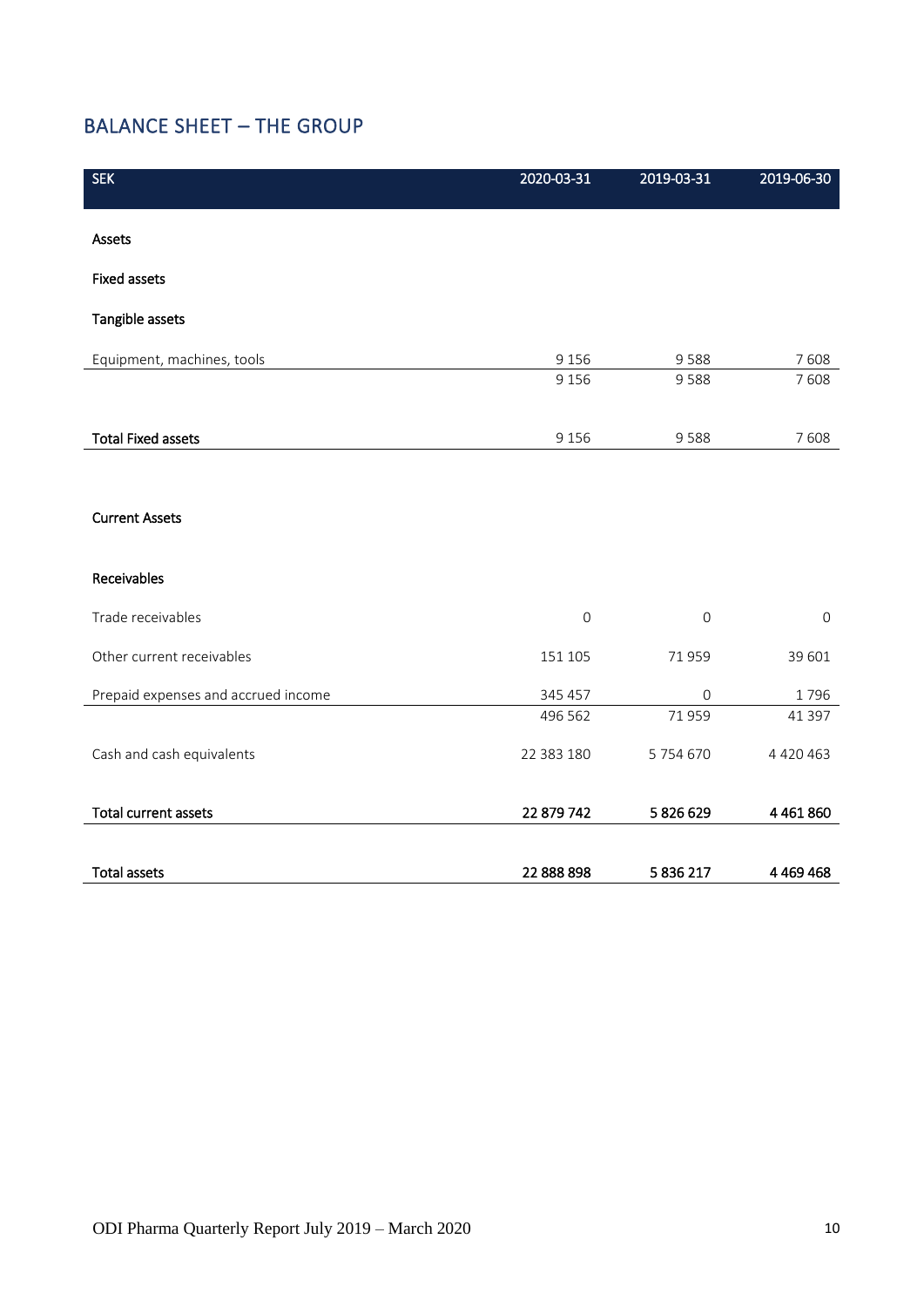## BALANCE SHEET – THE GROUP

| <b>SEK</b>                          | 2020-03-31  | 2019-03-31  | 2019-06-30    |
|-------------------------------------|-------------|-------------|---------------|
| Assets                              |             |             |               |
| <b>Fixed assets</b>                 |             |             |               |
| Tangible assets                     |             |             |               |
| Equipment, machines, tools          | 9 1 5 6     | 9588        | 7608          |
|                                     | 9 1 5 6     | 9588        | 7608          |
| <b>Total Fixed assets</b>           | 9 1 5 6     | 9588        | 7608          |
|                                     |             |             |               |
| <b>Current Assets</b>               |             |             |               |
| Receivables                         |             |             |               |
| Trade receivables                   | $\mathbf 0$ | $\mathbf 0$ | $\Omega$      |
| Other current receivables           | 151 105     | 71959       | 39 601        |
| Prepaid expenses and accrued income | 345 457     | $\mathbf 0$ | 1796          |
|                                     | 496 562     | 71959       | 41 397        |
| Cash and cash equivalents           | 22 383 180  | 5754670     | 4 4 2 0 4 6 3 |
| <b>Total current assets</b>         | 22 879 742  | 5 826 629   | 4 4 6 1 8 6 0 |
| <b>Total assets</b>                 | 22 888 898  | 5 836 217   | 4 4 69 4 68   |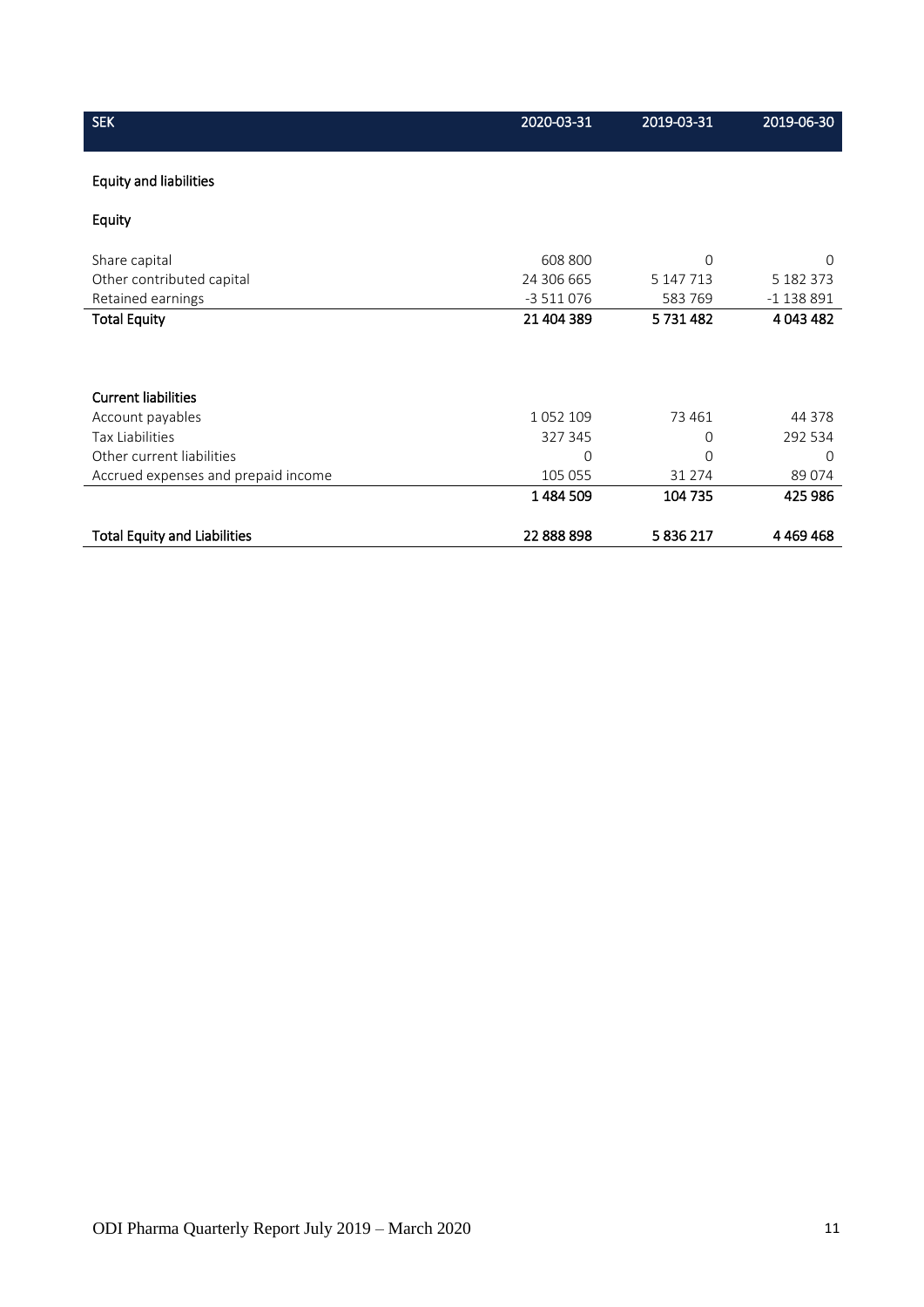| <b>SEK</b>                          | 2020-03-31    | 2019-03-31 | 2019-06-30  |
|-------------------------------------|---------------|------------|-------------|
| <b>Equity and liabilities</b>       |               |            |             |
| Equity                              |               |            |             |
| Share capital                       | 608 800       | $\Omega$   | $\Omega$    |
| Other contributed capital           | 24 306 665    | 5 147 713  | 5 182 373   |
| Retained earnings                   | $-3511076$    | 583 769    | $-1138891$  |
| <b>Total Equity</b>                 | 21 404 389    | 5731482    | 4 043 482   |
|                                     |               |            |             |
| <b>Current liabilities</b>          |               |            |             |
| Account payables                    | 1 0 5 2 1 0 9 | 73 461     | 44 3 7 8    |
| <b>Tax Liabilities</b>              | 327 345       | $\Omega$   | 292 534     |
| Other current liabilities           | 0             | 0          | $\Omega$    |
| Accrued expenses and prepaid income | 105 055       | 31 2 7 4   | 89074       |
|                                     | 1484509       | 104 735    | 425 986     |
| <b>Total Equity and Liabilities</b> | 22 888 898    | 5836217    | 4 4 69 4 68 |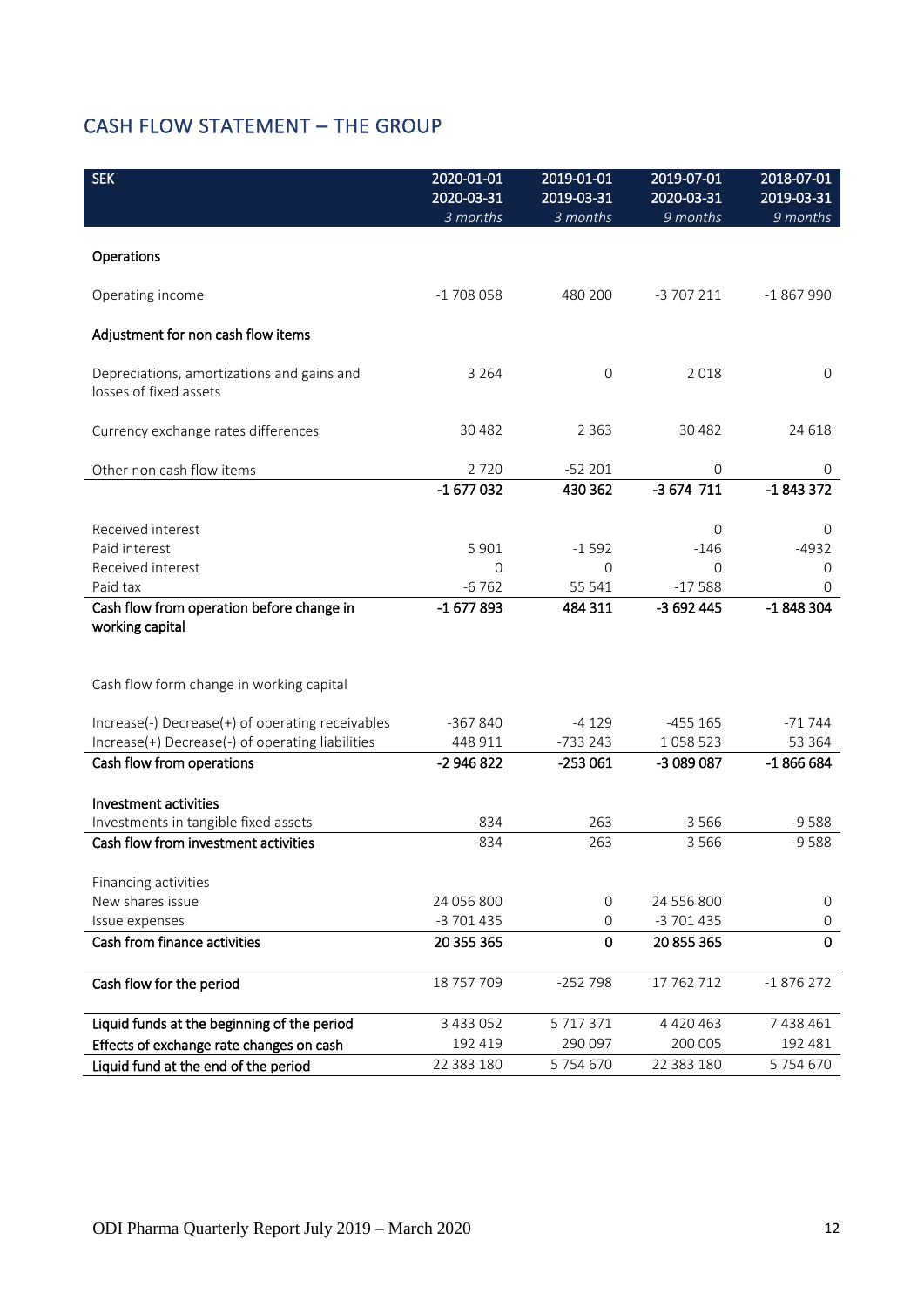## CASH FLOW STATEMENT – THE GROUP

| <b>SEK</b>                                                           | 2020-01-01    | 2019-01-01  | 2019-07-01    | 2018-07-01  |
|----------------------------------------------------------------------|---------------|-------------|---------------|-------------|
|                                                                      | 2020-03-31    | 2019-03-31  | 2020-03-31    | 2019-03-31  |
|                                                                      | 3 months      | 3 months    | 9 months      | 9 months    |
| Operations                                                           |               |             |               |             |
| Operating income                                                     | $-1708058$    | 480 200     | -3 707 211    | -1867990    |
| Adjustment for non cash flow items                                   |               |             |               |             |
| Depreciations, amortizations and gains and<br>losses of fixed assets | 3 2 6 4       | 0           | 2018          | 0           |
| Currency exchange rates differences                                  | 30 4 82       | 2 3 6 3     | 30 4 82       | 24 6 18     |
| Other non cash flow items                                            | 2720          | $-52201$    | $\mathbf{O}$  | 0           |
|                                                                      | $-1677032$    | 430 362     | $-3674711$    | $-1843372$  |
|                                                                      |               |             |               |             |
| Received interest                                                    |               |             | 0             | 0           |
| Paid interest                                                        | 5 9 0 1       | $-1592$     | $-146$        | $-4932$     |
| Received interest                                                    | $\Omega$      | $\mathbf 0$ | $\Omega$      | 0           |
| Paid tax                                                             | $-6762$       | 55 541      | $-17588$      | 0           |
| Cash flow from operation before change in<br>working capital         | $-1677893$    | 484 311     | -3 692 445    | $-1848304$  |
| Cash flow form change in working capital                             |               |             |               |             |
| Increase(-) Decrease(+) of operating receivables                     | -367 840      | $-4129$     | $-455$ 165    | $-71744$    |
| Increase(+) Decrease(-) of operating liabilities                     | 448 911       | $-733243$   | 1058523       | 53 364      |
| Cash flow from operations                                            | -2 946 822    | $-253061$   | -3 089 087    | $-1866684$  |
| Investment activities                                                |               |             |               |             |
| Investments in tangible fixed assets                                 | $-834$        | 263         | $-3566$       | $-9588$     |
| Cash flow from investment activities                                 | $-834$        | 263         | $-3566$       | $-9588$     |
| Financing activities                                                 |               |             |               |             |
| New shares issue                                                     | 24 056 800    | 0           | 24 556 800    | 0           |
| Issue expenses                                                       | -3 701 435    | $\mathbf 0$ | -3 701 435    | $\mathbf 0$ |
| Cash from finance activities                                         | 20 355 365    | 0           | 20 855 365    | $\mathbf 0$ |
|                                                                      |               |             |               |             |
| Cash flow for the period                                             | 18 757 709    | $-252798$   | 17 762 712    | $-1876272$  |
| Liquid funds at the beginning of the period                          | 3 4 3 3 0 5 2 | 5717371     | 4 4 2 0 4 6 3 | 7 438 461   |
| Effects of exchange rate changes on cash                             | 192 419       | 290 097     | 200 005       | 192 481     |
| Liquid fund at the end of the period                                 | 22 383 180    | 5754670     | 22 383 180    | 5754670     |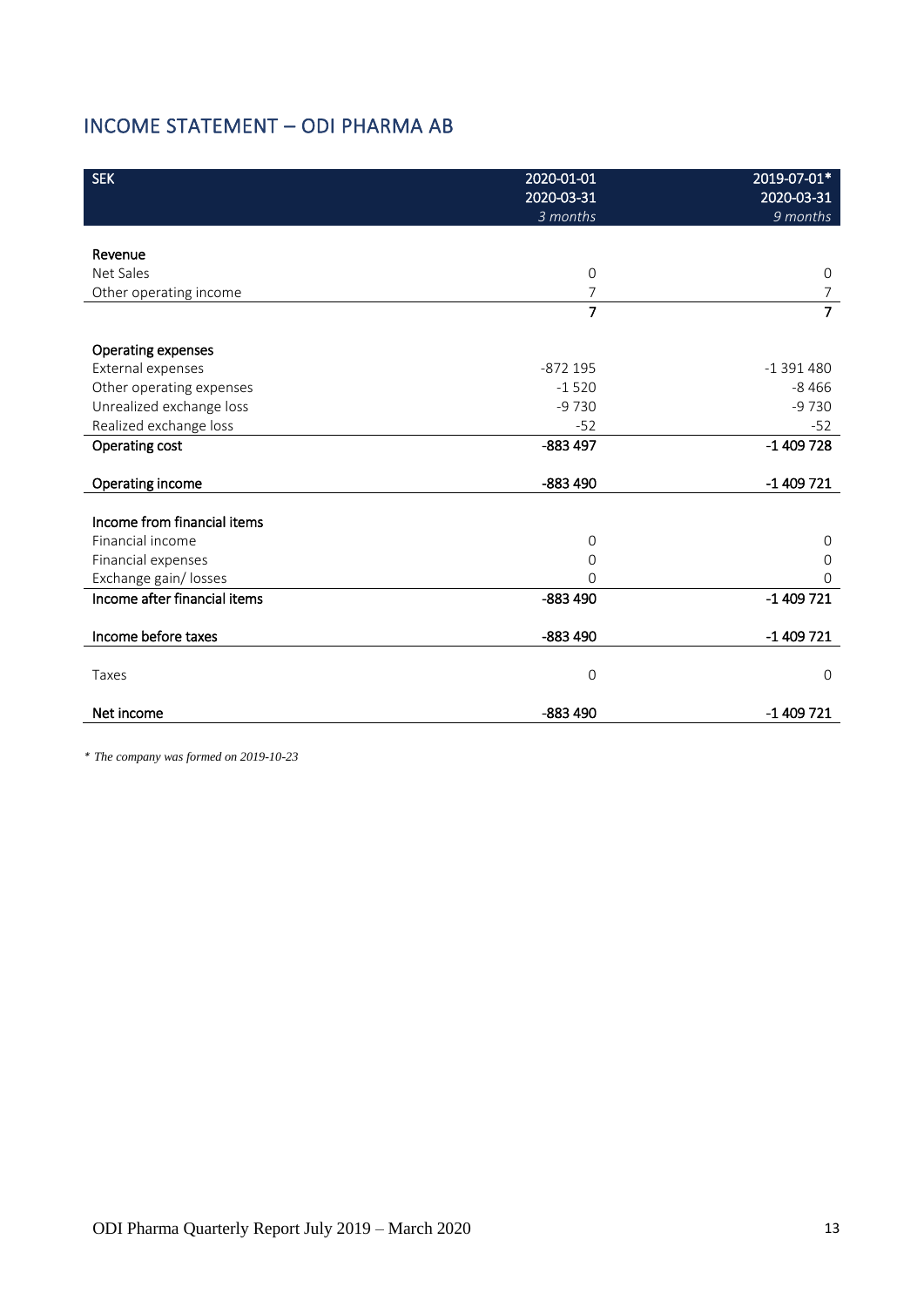## INCOME STATEMENT – ODI PHARMA AB

| <b>SEK</b>                   | 2020-01-01<br>2020-03-31<br>3 months | 2019-07-01*<br>2020-03-31<br>9 months |
|------------------------------|--------------------------------------|---------------------------------------|
|                              |                                      |                                       |
| Revenue                      |                                      |                                       |
| Net Sales                    | $\mathbf 0$                          | 0                                     |
| Other operating income       | 7                                    | 7                                     |
|                              | $\overline{7}$                       | $\overline{7}$                        |
| <b>Operating expenses</b>    |                                      |                                       |
| External expenses            | $-872$ 195                           | $-1391480$                            |
| Other operating expenses     | $-1520$                              | $-8466$                               |
| Unrealized exchange loss     | $-9730$                              | $-9730$                               |
| Realized exchange loss       | $-52$                                | $-52$                                 |
| Operating cost               | -883 497                             | $-1409728$                            |
| Operating income             | -883 490                             | -1 409 721                            |
| Income from financial items  |                                      |                                       |
| Financial income             | $\mathbf 0$                          | 0                                     |
| Financial expenses           | $\mathbf 0$                          | $\Omega$                              |
| Exchange gain/ losses        | $\Omega$                             | $\Omega$                              |
| Income after financial items | -883 490                             | $-1409721$                            |
| Income before taxes          | -883 490                             | $-1409721$                            |
| Taxes                        | $\mathbf 0$                          | $\Omega$                              |
| Net income                   | $-883490$                            | $-1409721$                            |

*\* The company was formed on 2019-10-23*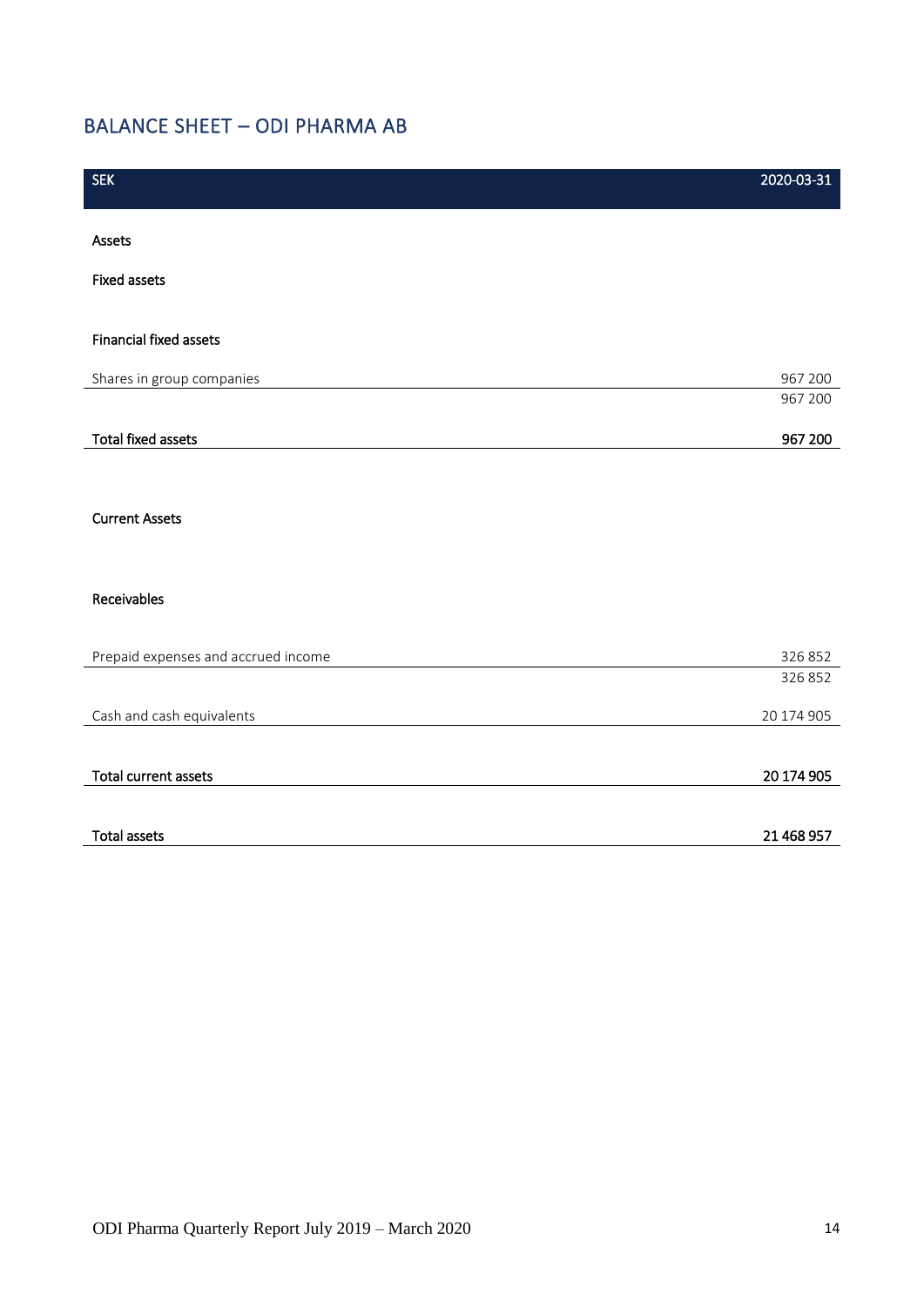## BALANCE SHEET – ODI PHARMA AB

| <b>SEK</b>                          | 2020-03-31 |
|-------------------------------------|------------|
|                                     |            |
| Assets                              |            |
| <b>Fixed assets</b>                 |            |
|                                     |            |
| <b>Financial fixed assets</b>       |            |
| Shares in group companies           | 967 200    |
|                                     | 967 200    |
| <b>Total fixed assets</b>           | 967 200    |
|                                     |            |
|                                     |            |
| <b>Current Assets</b>               |            |
|                                     |            |
| Receivables                         |            |
|                                     |            |
| Prepaid expenses and accrued income | 326 852    |
|                                     | 326 852    |
| Cash and cash equivalents           | 20 174 905 |
|                                     |            |
| <b>Total current assets</b>         | 20 174 905 |
|                                     |            |
| <b>Total assets</b>                 | 21 468 957 |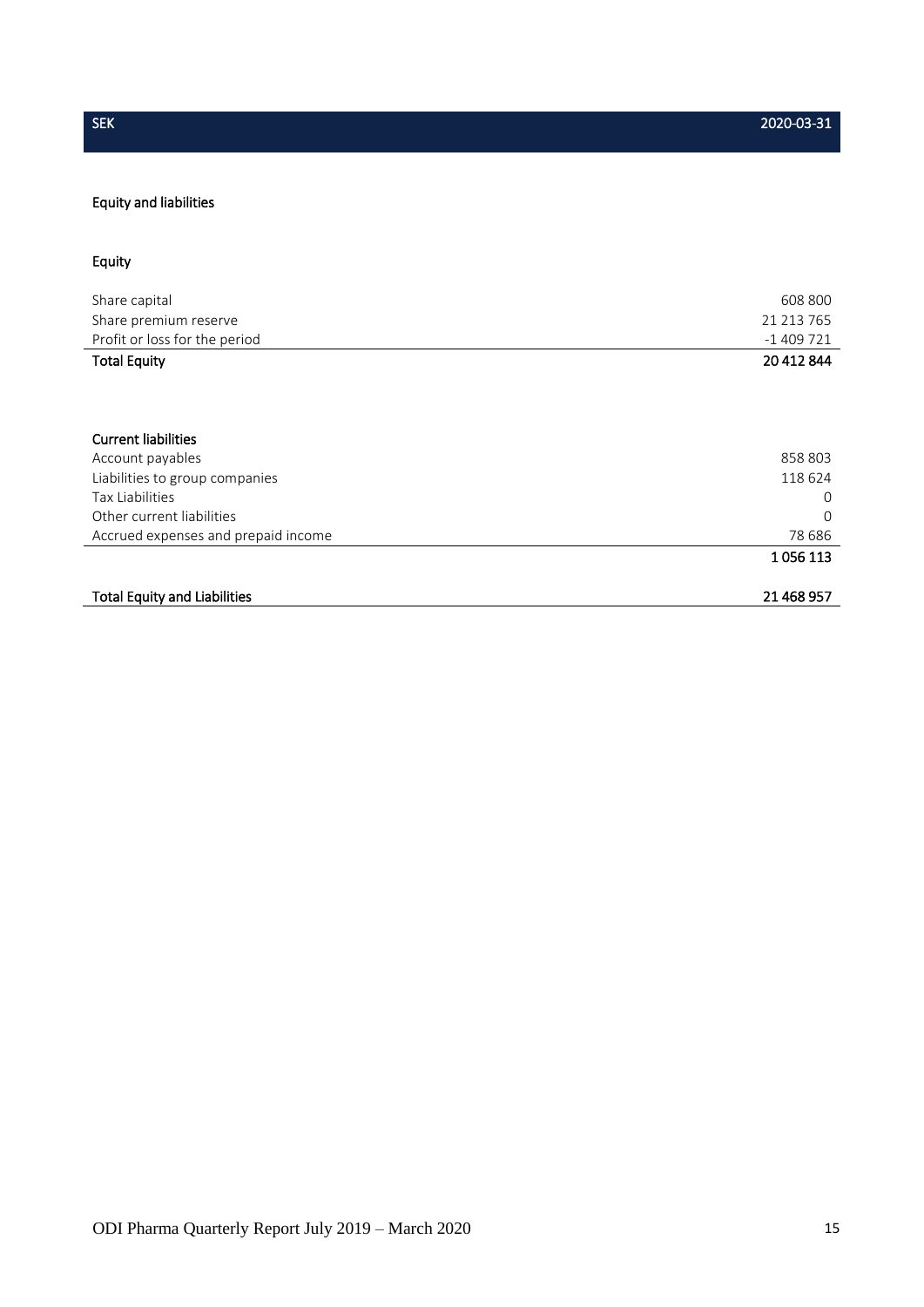## Equity and liabilities

## Equity

| Share capital                       | 608 800    |
|-------------------------------------|------------|
| Share premium reserve               | 21 213 765 |
| Profit or loss for the period       | $-1409721$ |
| <b>Total Equity</b>                 | 20 412 844 |
|                                     |            |
| <b>Current liabilities</b>          |            |
| Account payables                    | 858 803    |
| Liabilities to group companies      | 118 624    |
| <b>Tax Liabilities</b>              | 0          |
| Other current liabilities           | $\Omega$   |
| Accrued expenses and prepaid income | 78 686     |
|                                     | 1056113    |
| <b>Total Equity and Liabilities</b> | 21 468 957 |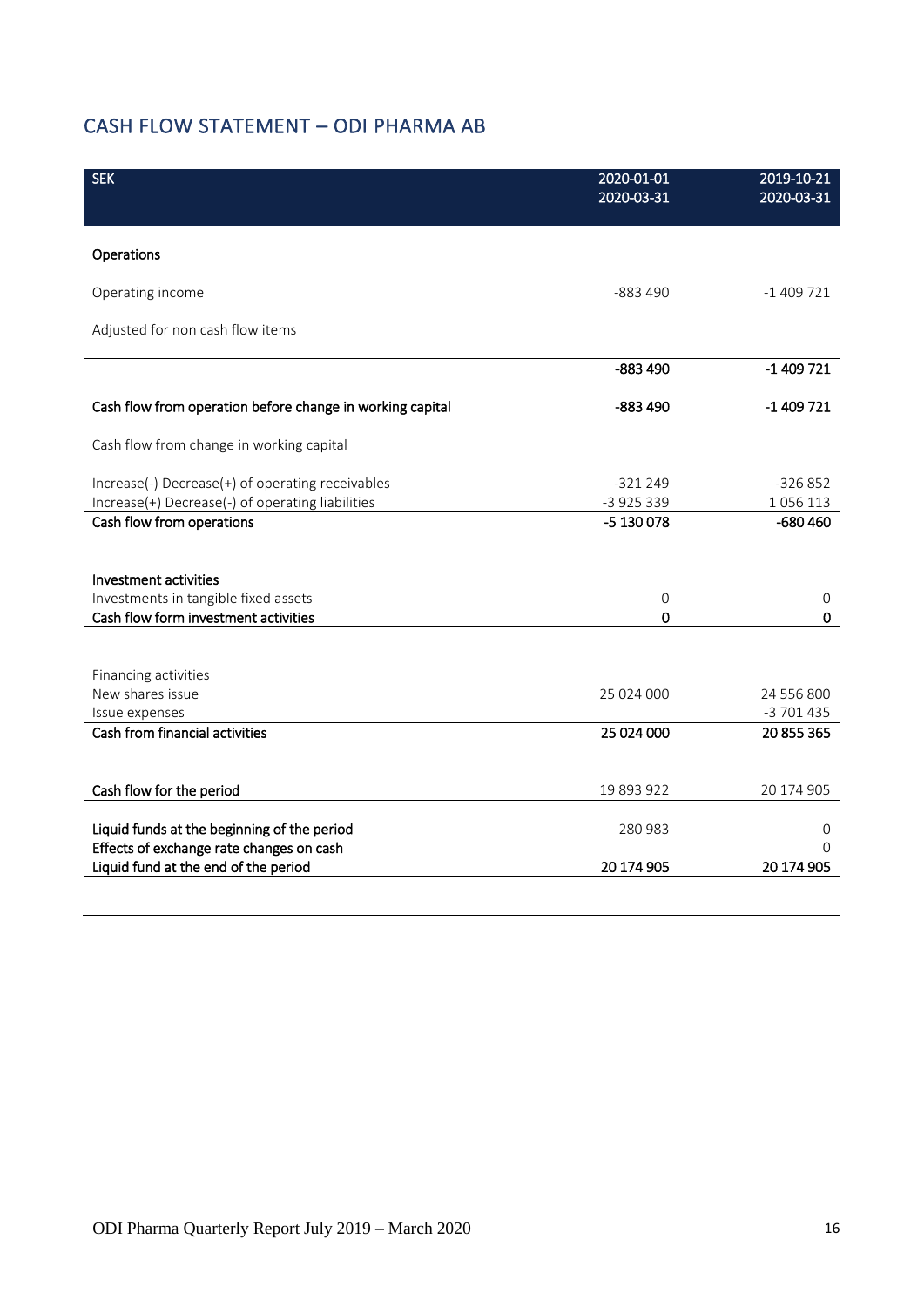## CASH FLOW STATEMENT – ODI PHARMA AB

| <b>SEK</b>                                                | 2020-01-01<br>2020-03-31 | 2019-10-21<br>2020-03-31 |
|-----------------------------------------------------------|--------------------------|--------------------------|
|                                                           |                          |                          |
|                                                           |                          |                          |
| Operations                                                |                          |                          |
| Operating income                                          | $-883490$                | $-1409721$               |
| Adjusted for non cash flow items                          |                          |                          |
|                                                           |                          |                          |
|                                                           | -883 490                 | $-1409721$               |
| Cash flow from operation before change in working capital | -883 490                 | $-1409721$               |
|                                                           |                          |                          |
| Cash flow from change in working capital                  |                          |                          |
| Increase(-) Decrease(+) of operating receivables          | $-321249$                | $-326852$                |
| Increase(+) Decrease(-) of operating liabilities          | -3 925 339               | 1056113                  |
| Cash flow from operations                                 | -5 130 078               | $-680460$                |
|                                                           |                          |                          |
|                                                           |                          |                          |
| Investment activities                                     |                          |                          |
| Investments in tangible fixed assets                      | $\mathbf 0$              | 0                        |
| Cash flow form investment activities                      | 0                        | 0                        |
|                                                           |                          |                          |
| Financing activities                                      |                          |                          |
| New shares issue                                          | 25 024 000               | 24 556 800               |
| Issue expenses                                            |                          | -3 701 435               |
| Cash from financial activities                            | 25 024 000               | 20 855 365               |
|                                                           |                          |                          |
| Cash flow for the period                                  | 19 893 922               | 20 174 905               |
|                                                           |                          |                          |
| Liquid funds at the beginning of the period               | 280 983                  | $\mathbf 0$              |
| Effects of exchange rate changes on cash                  |                          | $\Omega$                 |
| Liquid fund at the end of the period                      | 20 174 905               | 20 174 905               |